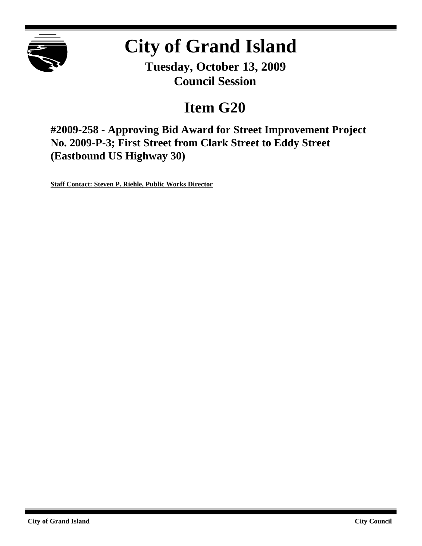

# **City of Grand Island**

**Tuesday, October 13, 2009 Council Session**

# **Item G20**

**#2009-258 - Approving Bid Award for Street Improvement Project No. 2009-P-3; First Street from Clark Street to Eddy Street (Eastbound US Highway 30)**

**Staff Contact: Steven P. Riehle, Public Works Director**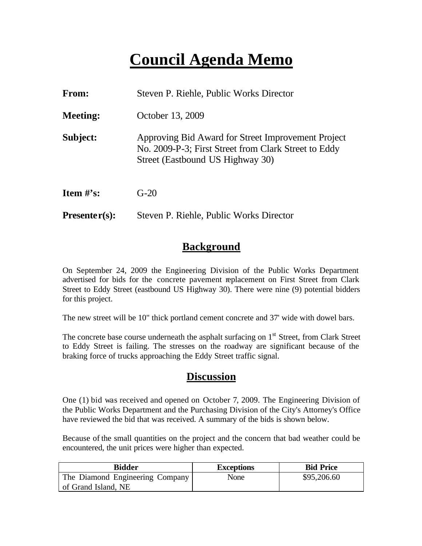# **Council Agenda Memo**

| From:           | Steven P. Riehle, Public Works Director                                                                                                        |
|-----------------|------------------------------------------------------------------------------------------------------------------------------------------------|
| <b>Meeting:</b> | October 13, 2009                                                                                                                               |
| Subject:        | Approving Bid Award for Street Improvement Project<br>No. 2009-P-3; First Street from Clark Street to Eddy<br>Street (Eastbound US Highway 30) |
| Item $\#$ 's:   | $G-20$                                                                                                                                         |
| $Presenter(s):$ | Steven P. Riehle, Public Works Director                                                                                                        |

### **Background**

On September 24, 2009 the Engineering Division of the Public Works Department advertised for bids for the concrete pavement replacement on First Street from Clark Street to Eddy Street (eastbound US Highway 30). There were nine (9) potential bidders for this project.

The new street will be 10" thick portland cement concrete and 37' wide with dowel bars.

The concrete base course underneath the asphalt surfacing on  $1<sup>st</sup>$  Street, from Clark Street to Eddy Street is failing. The stresses on the roadway are significant because of the braking force of trucks approaching the Eddy Street traffic signal.

### **Discussion**

One (1) bid was received and opened on October 7, 2009. The Engineering Division of the Public Works Department and the Purchasing Division of the City's Attorney's Office have reviewed the bid that was received. A summary of the bids is shown below.

Because of the small quantities on the project and the concern that bad weather could be encountered, the unit prices were higher than expected.

| Bidder                          | <b>Exceptions</b> | <b>Bid Price</b> |
|---------------------------------|-------------------|------------------|
| The Diamond Engineering Company | None              | \$95,206.60      |
| of Grand Island, NE             |                   |                  |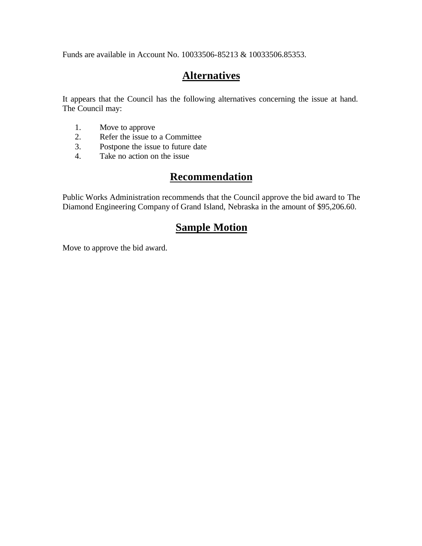Funds are available in Account No. 10033506-85213 & 10033506.85353.

# **Alternatives**

It appears that the Council has the following alternatives concerning the issue at hand. The Council may:

- 1. Move to approve<br>2. Refer the issue to
- 2. Refer the issue to a Committee
- 3. Postpone the issue to future date
- 4. Take no action on the issue

### **Recommendation**

Public Works Administration recommends that the Council approve the bid award to The Diamond Engineering Company of Grand Island, Nebraska in the amount of \$95,206.60.

## **Sample Motion**

Move to approve the bid award.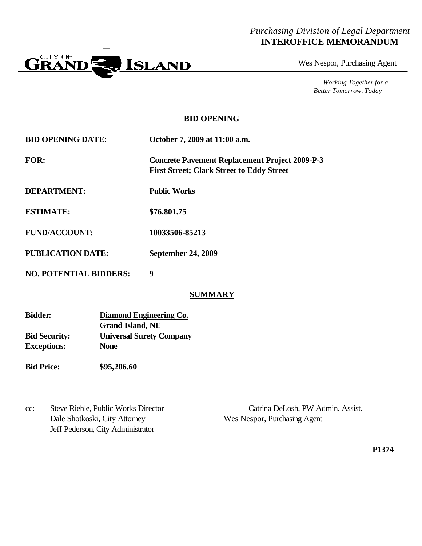#### *Purchasing Division of Legal Department* **INTEROFFICE MEMORANDUM**



Wes Nespor, Purchasing Agent

*Working Together for a Better Tomorrow, Today*

#### **BID OPENING**

| <b>BID OPENING DATE:</b> | October 7, 2009 at 11:00 a.m.                                                                             |
|--------------------------|-----------------------------------------------------------------------------------------------------------|
| <b>FOR:</b>              | <b>Concrete Pavement Replacement Project 2009-P-3</b><br><b>First Street; Clark Street to Eddy Street</b> |
| <b>DEPARTMENT:</b>       | <b>Public Works</b>                                                                                       |
| <b>ESTIMATE:</b>         | \$76,801.75                                                                                               |
| <b>FUND/ACCOUNT:</b>     | 10033506-85213                                                                                            |
| <b>PUBLICATION DATE:</b> | <b>September 24, 2009</b>                                                                                 |

**NO. POTENTIAL BIDDERS: 9**

#### **SUMMARY**

| <b>Bidder:</b>       | Diamond Engineering Co.         |
|----------------------|---------------------------------|
|                      | <b>Grand Island, NE</b>         |
| <b>Bid Security:</b> | <b>Universal Surety Company</b> |
| <b>Exceptions:</b>   | <b>None</b>                     |
|                      |                                 |

**Bid Price: \$95,206.60**

Dale Shotkoski, City Attorney Wes Nespor, Purchasing Agent Jeff Pederson, City Administrator

cc: Steve Riehle, Public Works Director Catrina DeLosh, PW Admin. Assist.

**P1374**